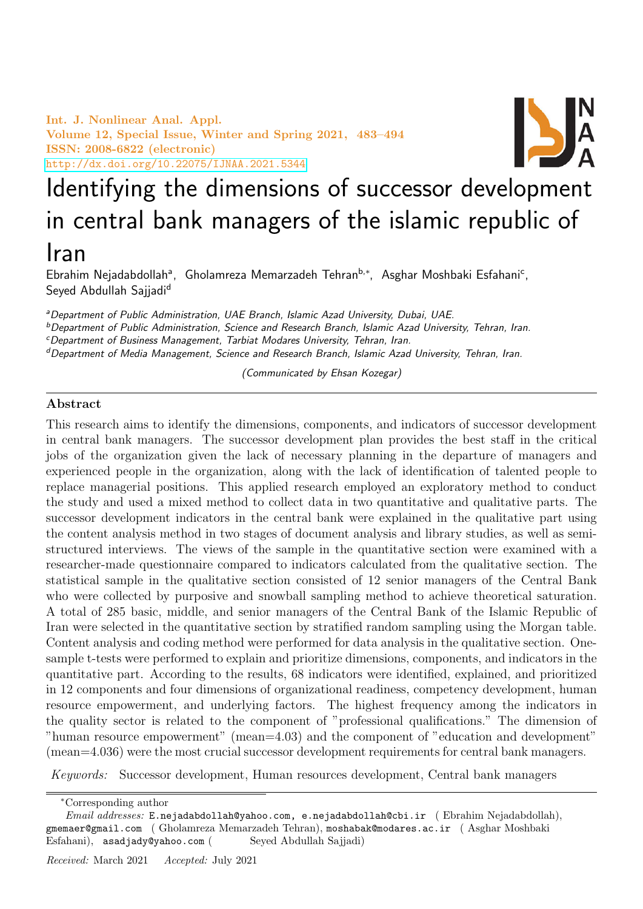Int. J. Nonlinear Anal. Appl. Volume 12, Special Issue, Winter and Spring 2021, 483–494 ISSN: 2008-6822 (electronic) <http://dx.doi.org/10.22075/IJNAA.2021.5344>



# Identifying the dimensions of successor development in central bank managers of the islamic republic of Iran

Ebrahim Nejadabdollah<sup>a</sup>, Gholamreza Memarzadeh Tehran<sup>b,∗</sup>, Asghar Moshbaki Esfahani<sup>c</sup>, Seyed Abdullah Sajjadi<sup>d</sup>

<sup>a</sup>Department of Public Administration, UAE Branch, Islamic Azad University, Dubai, UAE.

<sup>b</sup>Department of Public Administration, Science and Research Branch, Islamic Azad University, Tehran, Iran.

<sup>c</sup>Department of Business Management, Tarbiat Modares University, Tehran, Iran.

dDepartment of Media Management, Science and Research Branch, Islamic Azad University, Tehran, Iran.

(Communicated by Ehsan Kozegar)

# Abstract

This research aims to identify the dimensions, components, and indicators of successor development in central bank managers. The successor development plan provides the best staff in the critical jobs of the organization given the lack of necessary planning in the departure of managers and experienced people in the organization, along with the lack of identification of talented people to replace managerial positions. This applied research employed an exploratory method to conduct the study and used a mixed method to collect data in two quantitative and qualitative parts. The successor development indicators in the central bank were explained in the qualitative part using the content analysis method in two stages of document analysis and library studies, as well as semistructured interviews. The views of the sample in the quantitative section were examined with a researcher-made questionnaire compared to indicators calculated from the qualitative section. The statistical sample in the qualitative section consisted of 12 senior managers of the Central Bank who were collected by purposive and snowball sampling method to achieve theoretical saturation. A total of 285 basic, middle, and senior managers of the Central Bank of the Islamic Republic of Iran were selected in the quantitative section by stratified random sampling using the Morgan table. Content analysis and coding method were performed for data analysis in the qualitative section. Onesample t-tests were performed to explain and prioritize dimensions, components, and indicators in the quantitative part. According to the results, 68 indicators were identified, explained, and prioritized in 12 components and four dimensions of organizational readiness, competency development, human resource empowerment, and underlying factors. The highest frequency among the indicators in the quality sector is related to the component of "professional qualifications." The dimension of "human resource empowerment" (mean=4.03) and the component of "education and development" (mean=4.036) were the most crucial successor development requirements for central bank managers.

Keywords: Successor development, Human resources development, Central bank managers

<sup>∗</sup>Corresponding author

Email addresses: E.nejadabdollah@yahoo.com, e.nejadabdollah@cbi.ir (Ebrahim Nejadabdollah), gmemaer@gmail.com ( Gholamreza Memarzadeh Tehran), moshabak@modares.ac.ir ( Asghar Moshbaki Esfahani), asadjady@yahoo.com ( Seyed Abdullah Sajjadi)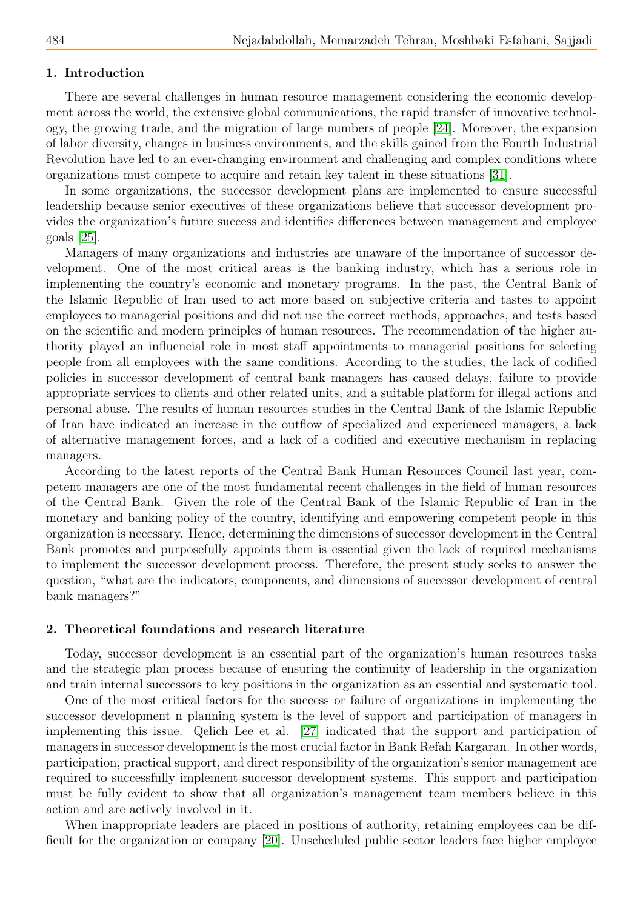# 1. Introduction

There are several challenges in human resource management considering the economic development across the world, the extensive global communications, the rapid transfer of innovative technology, the growing trade, and the migration of large numbers of people [\[24\]](#page-11-0). Moreover, the expansion of labor diversity, changes in business environments, and the skills gained from the Fourth Industrial Revolution have led to an ever-changing environment and challenging and complex conditions where organizations must compete to acquire and retain key talent in these situations [\[31\]](#page-11-1).

In some organizations, the successor development plans are implemented to ensure successful leadership because senior executives of these organizations believe that successor development provides the organization's future success and identifies differences between management and employee goals [\[25\]](#page-11-2).

Managers of many organizations and industries are unaware of the importance of successor development. One of the most critical areas is the banking industry, which has a serious role in implementing the country's economic and monetary programs. In the past, the Central Bank of the Islamic Republic of Iran used to act more based on subjective criteria and tastes to appoint employees to managerial positions and did not use the correct methods, approaches, and tests based on the scientific and modern principles of human resources. The recommendation of the higher authority played an influencial role in most staff appointments to managerial positions for selecting people from all employees with the same conditions. According to the studies, the lack of codified policies in successor development of central bank managers has caused delays, failure to provide appropriate services to clients and other related units, and a suitable platform for illegal actions and personal abuse. The results of human resources studies in the Central Bank of the Islamic Republic of Iran have indicated an increase in the outflow of specialized and experienced managers, a lack of alternative management forces, and a lack of a codified and executive mechanism in replacing managers.

According to the latest reports of the Central Bank Human Resources Council last year, competent managers are one of the most fundamental recent challenges in the field of human resources of the Central Bank. Given the role of the Central Bank of the Islamic Republic of Iran in the monetary and banking policy of the country, identifying and empowering competent people in this organization is necessary. Hence, determining the dimensions of successor development in the Central Bank promotes and purposefully appoints them is essential given the lack of required mechanisms to implement the successor development process. Therefore, the present study seeks to answer the question, "what are the indicators, components, and dimensions of successor development of central bank managers?"

### 2. Theoretical foundations and research literature

Today, successor development is an essential part of the organization's human resources tasks and the strategic plan process because of ensuring the continuity of leadership in the organization and train internal successors to key positions in the organization as an essential and systematic tool.

One of the most critical factors for the success or failure of organizations in implementing the successor development n planning system is the level of support and participation of managers in implementing this issue. Qelich Lee et al. [\[27\]](#page-11-3) indicated that the support and participation of managers in successor development is the most crucial factor in Bank Refah Kargaran. In other words, participation, practical support, and direct responsibility of the organization's senior management are required to successfully implement successor development systems. This support and participation must be fully evident to show that all organization's management team members believe in this action and are actively involved in it.

When inappropriate leaders are placed in positions of authority, retaining employees can be difficult for the organization or company [\[20\]](#page-11-4). Unscheduled public sector leaders face higher employee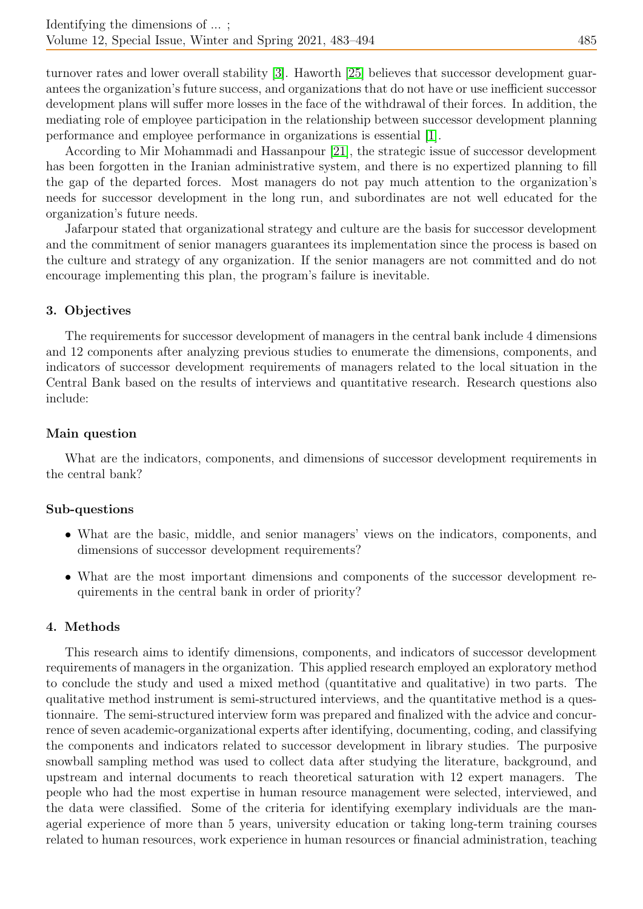turnover rates and lower overall stability [\[3\]](#page-10-0). Haworth [\[25\]](#page-11-2) believes that successor development guarantees the organization's future success, and organizations that do not have or use inefficient successor development plans will suffer more losses in the face of the withdrawal of their forces. In addition, the mediating role of employee participation in the relationship between successor development planning performance and employee performance in organizations is essential [\[1\]](#page-10-1).

According to Mir Mohammadi and Hassanpour [\[21\]](#page-11-5), the strategic issue of successor development has been forgotten in the Iranian administrative system, and there is no expertized planning to fill the gap of the departed forces. Most managers do not pay much attention to the organization's needs for successor development in the long run, and subordinates are not well educated for the organization's future needs.

Jafarpour stated that organizational strategy and culture are the basis for successor development and the commitment of senior managers guarantees its implementation since the process is based on the culture and strategy of any organization. If the senior managers are not committed and do not encourage implementing this plan, the program's failure is inevitable.

# 3. Objectives

The requirements for successor development of managers in the central bank include 4 dimensions and 12 components after analyzing previous studies to enumerate the dimensions, components, and indicators of successor development requirements of managers related to the local situation in the Central Bank based on the results of interviews and quantitative research. Research questions also include:

# Main question

What are the indicators, components, and dimensions of successor development requirements in the central bank?

# Sub-questions

- What are the basic, middle, and senior managers' views on the indicators, components, and dimensions of successor development requirements?
- What are the most important dimensions and components of the successor development requirements in the central bank in order of priority?

# 4. Methods

This research aims to identify dimensions, components, and indicators of successor development requirements of managers in the organization. This applied research employed an exploratory method to conclude the study and used a mixed method (quantitative and qualitative) in two parts. The qualitative method instrument is semi-structured interviews, and the quantitative method is a questionnaire. The semi-structured interview form was prepared and finalized with the advice and concurrence of seven academic-organizational experts after identifying, documenting, coding, and classifying the components and indicators related to successor development in library studies. The purposive snowball sampling method was used to collect data after studying the literature, background, and upstream and internal documents to reach theoretical saturation with 12 expert managers. The people who had the most expertise in human resource management were selected, interviewed, and the data were classified. Some of the criteria for identifying exemplary individuals are the managerial experience of more than 5 years, university education or taking long-term training courses related to human resources, work experience in human resources or financial administration, teaching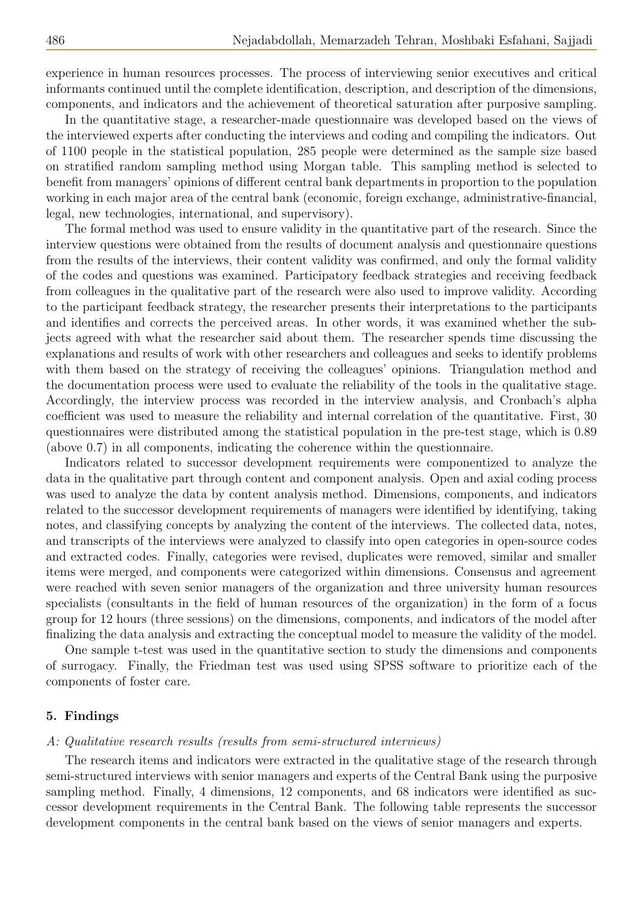experience in human resources processes. The process of interviewing senior executives and critical informants continued until the complete identification, description, and description of the dimensions, components, and indicators and the achievement of theoretical saturation after purposive sampling.

In the quantitative stage, a researcher-made questionnaire was developed based on the views of the interviewed experts after conducting the interviews and coding and compiling the indicators. Out of 1100 people in the statistical population, 285 people were determined as the sample size based on stratified random sampling method using Morgan table. This sampling method is selected to benefit from managers' opinions of different central bank departments in proportion to the population working in each major area of the central bank (economic, foreign exchange, administrative-financial, legal, new technologies, international, and supervisory).

The formal method was used to ensure validity in the quantitative part of the research. Since the interview questions were obtained from the results of document analysis and questionnaire questions from the results of the interviews, their content validity was confirmed, and only the formal validity of the codes and questions was examined. Participatory feedback strategies and receiving feedback from colleagues in the qualitative part of the research were also used to improve validity. According to the participant feedback strategy, the researcher presents their interpretations to the participants and identifies and corrects the perceived areas. In other words, it was examined whether the subjects agreed with what the researcher said about them. The researcher spends time discussing the explanations and results of work with other researchers and colleagues and seeks to identify problems with them based on the strategy of receiving the colleagues' opinions. Triangulation method and the documentation process were used to evaluate the reliability of the tools in the qualitative stage. Accordingly, the interview process was recorded in the interview analysis, and Cronbach's alpha coefficient was used to measure the reliability and internal correlation of the quantitative. First, 30 questionnaires were distributed among the statistical population in the pre-test stage, which is 0.89 (above 0.7) in all components, indicating the coherence within the questionnaire.

Indicators related to successor development requirements were componentized to analyze the data in the qualitative part through content and component analysis. Open and axial coding process was used to analyze the data by content analysis method. Dimensions, components, and indicators related to the successor development requirements of managers were identified by identifying, taking notes, and classifying concepts by analyzing the content of the interviews. The collected data, notes, and transcripts of the interviews were analyzed to classify into open categories in open-source codes and extracted codes. Finally, categories were revised, duplicates were removed, similar and smaller items were merged, and components were categorized within dimensions. Consensus and agreement were reached with seven senior managers of the organization and three university human resources specialists (consultants in the field of human resources of the organization) in the form of a focus group for 12 hours (three sessions) on the dimensions, components, and indicators of the model after finalizing the data analysis and extracting the conceptual model to measure the validity of the model.

One sample t-test was used in the quantitative section to study the dimensions and components of surrogacy. Finally, the Friedman test was used using SPSS software to prioritize each of the components of foster care.

## 5. Findings

## A: Qualitative research results (results from semi-structured interviews)

The research items and indicators were extracted in the qualitative stage of the research through semi-structured interviews with senior managers and experts of the Central Bank using the purposive sampling method. Finally, 4 dimensions, 12 components, and 68 indicators were identified as successor development requirements in the Central Bank. The following table represents the successor development components in the central bank based on the views of senior managers and experts.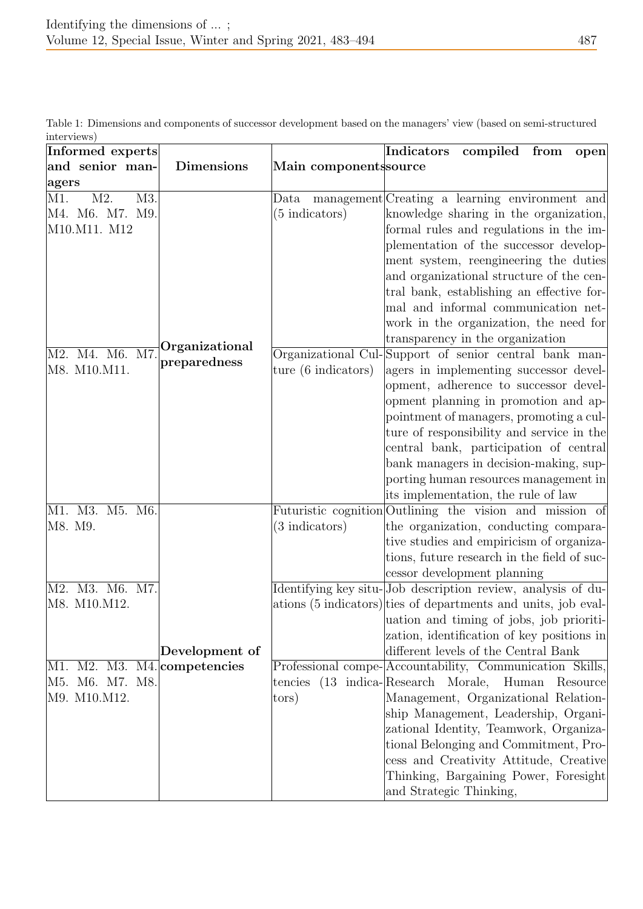| Informed experts                                      |                             | Indicators<br>compiled from<br>open                                                                                                                                                                                                                 |
|-------------------------------------------------------|-----------------------------|-----------------------------------------------------------------------------------------------------------------------------------------------------------------------------------------------------------------------------------------------------|
| and senior man-<br><b>Dimensions</b>                  | Main componentssource       |                                                                                                                                                                                                                                                     |
| agers                                                 |                             |                                                                                                                                                                                                                                                     |
| M2.<br>M1.<br>M3.<br>M4. M6. M7. M9.<br>M10.M11. M12  | (5 indicators)              | Data management Creating a learning environment and<br>knowledge sharing in the organization,<br>formal rules and regulations in the im-<br>plementation of the successor develop-                                                                  |
| Organizational                                        |                             | ment system, reengineering the duties<br>and organizational structure of the cen-<br>tral bank, establishing an effective for-<br>mal and informal communication net-<br>work in the organization, the need for<br>transparency in the organization |
| $\overline{\text{M7}}$<br>M2. M4. M6.<br>preparedness | Organizational Cul-         | Support of senior central bank man-                                                                                                                                                                                                                 |
| M8. M10.M11.                                          | ture (6 indicators)         | agers in implementing successor devel-                                                                                                                                                                                                              |
|                                                       |                             | opment, adherence to successor devel-<br>opment planning in promotion and ap-                                                                                                                                                                       |
|                                                       |                             | pointment of managers, promoting a cul-                                                                                                                                                                                                             |
|                                                       |                             | ture of responsibility and service in the                                                                                                                                                                                                           |
|                                                       |                             | central bank, participation of central                                                                                                                                                                                                              |
|                                                       |                             | bank managers in decision-making, sup-                                                                                                                                                                                                              |
|                                                       |                             | porting human resources management in                                                                                                                                                                                                               |
|                                                       |                             | its implementation, the rule of law                                                                                                                                                                                                                 |
| M1. M3. M5. M6.                                       |                             | Futuristic cognition Outlining the vision and mission of                                                                                                                                                                                            |
| M8. M9.                                               | $(3$ indicators)            | the organization, conducting compara-                                                                                                                                                                                                               |
|                                                       |                             | tive studies and empiricism of organiza-                                                                                                                                                                                                            |
|                                                       |                             | tions, future research in the field of suc-<br>cessor development planning                                                                                                                                                                          |
| M2. M3. M6. M7.                                       |                             | Identifying key situ-Job description review, analysis of du-                                                                                                                                                                                        |
| M8. M10.M12.                                          |                             | ations (5 indicators) ties of departments and units, job eval-                                                                                                                                                                                      |
|                                                       |                             | uation and timing of jobs, job prioriti-                                                                                                                                                                                                            |
|                                                       |                             | zation, identification of key positions in                                                                                                                                                                                                          |
| Development of                                        |                             | different levels of the Central Bank                                                                                                                                                                                                                |
| M1. M2. M3. M4. competencies                          |                             | Professional compe-Accountability, Communication Skills,                                                                                                                                                                                            |
| M5. M6. M7. M8.                                       | tencies (13 indica-Research | Morale,<br>Human<br>Resource                                                                                                                                                                                                                        |
| M9. M10.M12.                                          | tors)                       | Management, Organizational Relation-                                                                                                                                                                                                                |
|                                                       |                             | ship Management, Leadership, Organi-<br>zational Identity, Teamwork, Organiza-                                                                                                                                                                      |
|                                                       |                             | tional Belonging and Commitment, Pro-                                                                                                                                                                                                               |
|                                                       |                             | cess and Creativity Attitude, Creative                                                                                                                                                                                                              |
|                                                       |                             | Thinking, Bargaining Power, Foresight                                                                                                                                                                                                               |
|                                                       |                             | and Strategic Thinking,                                                                                                                                                                                                                             |

Table 1: Dimensions and components of successor development based on the managers' view (based on semi-structured interviews)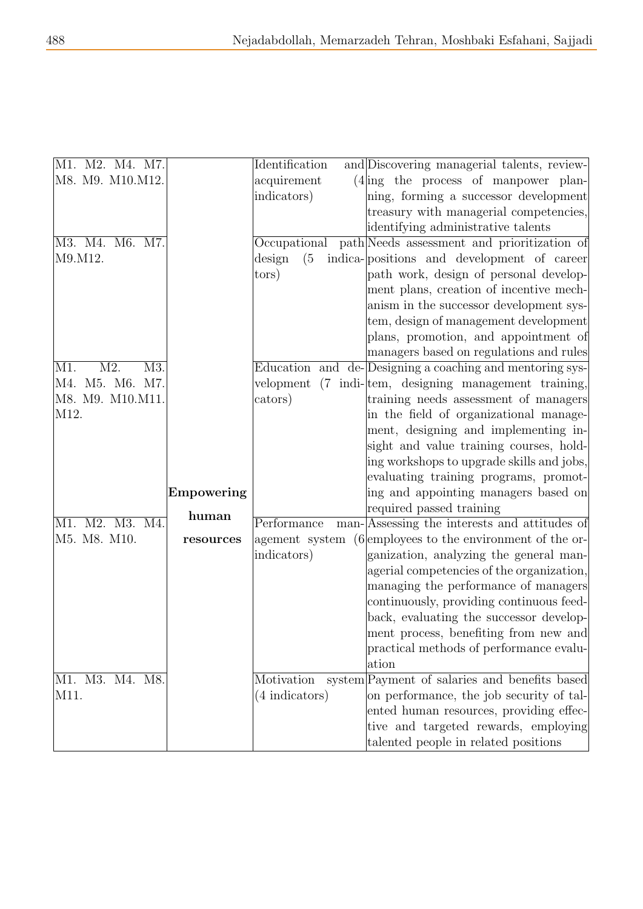| M1. M2. M4. M7.   |            | Identification | and Discovering managerial talents, review-               |
|-------------------|------------|----------------|-----------------------------------------------------------|
| M8. M9. M10.M12.  |            | acquirement    | $(4)$ ing the process of manpower plan-                   |
|                   |            | indicators)    | ning, forming a successor development                     |
|                   |            |                | treasury with managerial competencies,                    |
|                   |            |                | identifying administrative talents                        |
| M3. M4. M6. M7.   |            | Occupational   | path Needs assessment and prioritization of               |
| M9.M12.           |            | (5)<br>design  | indica-positions and development of career                |
|                   |            | tors)          | path work, design of personal develop-                    |
|                   |            |                | ment plans, creation of incentive mech-                   |
|                   |            |                | anism in the successor development sys-                   |
|                   |            |                | tem, design of management development                     |
|                   |            |                | plans, promotion, and appointment of                      |
|                   |            |                | managers based on regulations and rules                   |
| M2.<br>M3.<br>M1. |            |                | Education and de-Designing a coaching and mentoring sys-  |
| M4. M5. M6. M7.   |            | velopment      | (7 indi-tem, designing management training,               |
| M8. M9. M10.M11.  |            | cators)        | training needs assessment of managers                     |
| M12.              |            |                | in the field of organizational manage-                    |
|                   |            |                | ment, designing and implementing in-                      |
|                   |            |                | sight and value training courses, hold-                   |
|                   |            |                | ing workshops to upgrade skills and jobs,                 |
|                   |            |                | evaluating training programs, promot-                     |
|                   | Empowering |                | ing and appointing managers based on                      |
|                   | human      |                | required passed training                                  |
| M1. M2. M3. M4.   |            | Performance    | man-Assessing the interests and attitudes of              |
| M5. M8. M10.      | resources  |                | agement system (6 employees to the environment of the or- |
|                   |            | indicators)    | ganization, analyzing the general man-                    |
|                   |            |                | agerial competencies of the organization,                 |
|                   |            |                | managing the performance of managers                      |
|                   |            |                | continuously, providing continuous feed-                  |
|                   |            |                | back, evaluating the successor develop-                   |
|                   |            |                | ment process, benefiting from new and                     |
|                   |            |                | practical methods of performance evalu-                   |
|                   |            |                | ation                                                     |
| M1. M3. M4. M8.   |            | Motivation     | system Payment of salaries and benefits based             |
| M11.              |            | (4 indicators) | on performance, the job security of tal-                  |
|                   |            |                | ented human resources, providing effec-                   |
|                   |            |                | tive and targeted rewards, employing                      |
|                   |            |                | talented people in related positions                      |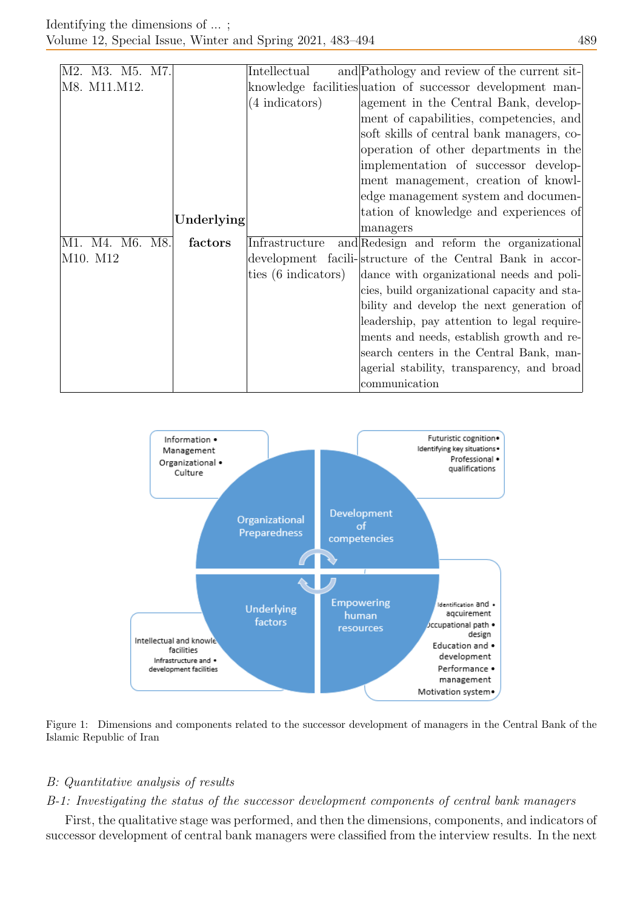|  |          | M2. M3. M5. M7. |            | Intellectual                           | and Pathology and review of the current sit-               |
|--|----------|-----------------|------------|----------------------------------------|------------------------------------------------------------|
|  |          | M8. M11.M12.    |            |                                        | knowledge facilities uation of successor development man-  |
|  |          |                 |            | (4 indicators)                         | agement in the Central Bank, develop-                      |
|  |          |                 |            |                                        | ment of capabilities, competencies, and                    |
|  |          |                 |            |                                        | soft skills of central bank managers, co-                  |
|  |          |                 |            |                                        | operation of other departments in the                      |
|  |          |                 |            |                                        | implementation of successor develop-                       |
|  |          |                 |            |                                        | ment management, creation of knowl-                        |
|  |          |                 |            |                                        | edge management system and documen-                        |
|  |          |                 |            | tation of knowledge and experiences of |                                                            |
|  |          |                 | Underlying |                                        | managers                                                   |
|  |          | M1. M4. M6. M8. | factors    | Infrastructure                         | and Redesign and reform the organizational                 |
|  | M10. M12 |                 |            |                                        | development facili-structure of the Central Bank in accor- |
|  |          |                 |            | ties (6 indicators)                    | dance with organizational needs and poli-                  |
|  |          |                 |            |                                        | cies, build organizational capacity and sta-               |
|  |          |                 |            |                                        | bility and develop the next generation of                  |
|  |          |                 |            |                                        | leadership, pay attention to legal require-                |
|  |          |                 |            |                                        | ments and needs, establish growth and re-                  |
|  |          |                 |            |                                        | search centers in the Central Bank, man-                   |
|  |          |                 |            |                                        | agerial stability, transparency, and broad                 |
|  |          |                 |            |                                        | communication                                              |



Figure 1: Dimensions and components related to the successor development of managers in the Central Bank of the Islamic Republic of Iran

# B: Quantitative analysis of results

# B-1: Investigating the status of the successor development components of central bank managers

First, the qualitative stage was performed, and then the dimensions, components, and indicators of successor development of central bank managers were classified from the interview results. In the next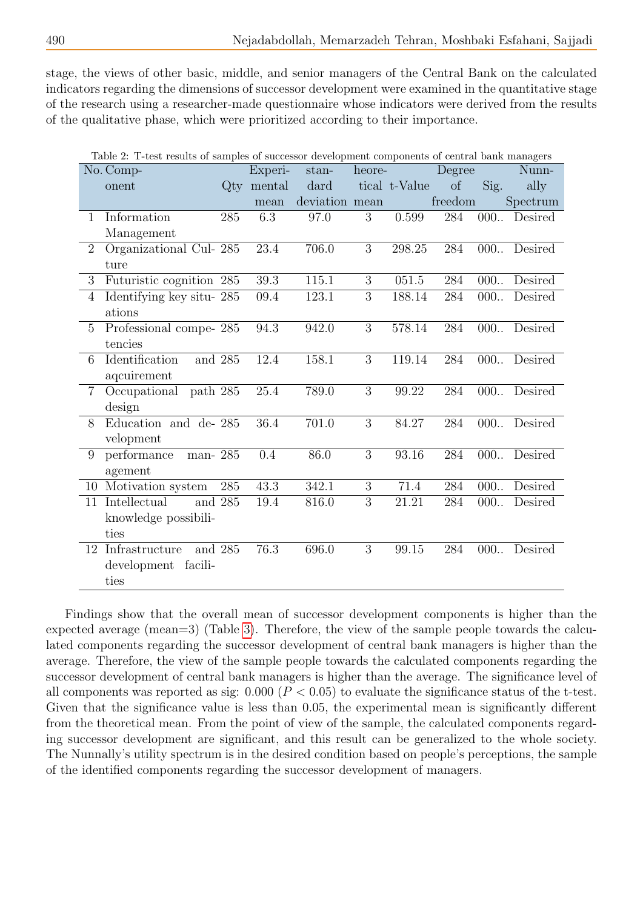stage, the views of other basic, middle, and senior managers of the Central Bank on the calculated indicators regarding the dimensions of successor development were examined in the quantitative stage of the research using a researcher-made questionnaire whose indicators were derived from the results of the qualitative phase, which were prioritized according to their importance.

|                | Table 2: T-test results of samples of successor development components of central bank managers |        |          |                |        |               |         |      |          |
|----------------|-------------------------------------------------------------------------------------------------|--------|----------|----------------|--------|---------------|---------|------|----------|
|                | No. Comp-                                                                                       |        | Experi-  | stan-          | heore- |               | Degree  |      | Nunn-    |
|                | onent                                                                                           | $Q$ ty | mental   | dard           |        | tical t-Value | of      | Sig. | ally     |
|                |                                                                                                 |        | mean     | deviation mean |        |               | freedom |      | Spectrum |
| $\mathbf 1$    | Information                                                                                     | 285    | 6.3      | 97.0           | 3      | 0.599         | 284     | 000  | Desired  |
|                | Management                                                                                      |        |          |                |        |               |         |      |          |
| $\overline{2}$ | Organizational Cul-285                                                                          |        | 23.4     | 706.0          | 3      | 298.25        | 284     | 000. | Desired  |
|                | ture                                                                                            |        |          |                |        |               |         |      |          |
| 3              | Futuristic cognition 285                                                                        |        | $39.3\,$ | 115.1          | 3      | 051.5         | 284     | 000  | Desired  |
| 4              | Identifying key situ-285                                                                        |        | 09.4     | 123.1          | 3      | 188.14        | 284     | 000. | Desired  |
|                | ations                                                                                          |        |          |                |        |               |         |      |          |
| $\overline{5}$ | Professional compe-285                                                                          |        | 94.3     | 942.0          | 3      | 578.14        | 284     | 000  | Desired  |
|                | tencies                                                                                         |        |          |                |        |               |         |      |          |
| 6              | Identification<br>and 285                                                                       |        | 12.4     | 158.1          | 3      | 119.14        | 284     | 000  | Desired  |
|                | aqcuirement                                                                                     |        |          |                |        |               |         |      |          |
| $\overline{7}$ | Occupational<br>path 285                                                                        |        | 25.4     | 789.0          | 3      | 99.22         | 284     | 000  | Desired  |
|                | design                                                                                          |        |          |                |        |               |         |      |          |
| 8              | Education and de-285                                                                            |        | 36.4     | 701.0          | 3      | 84.27         | 284     | 000  | Desired  |
|                | velopment                                                                                       |        |          |                |        |               |         |      |          |
| 9              | performance<br>man-285                                                                          |        | 0.4      | 86.0           | 3      | 93.16         | 284     | 000  | Desired  |
|                | agement                                                                                         |        |          |                |        |               |         |      |          |
| 10             | Motivation system                                                                               | 285    | 43.3     | 342.1          | 3      | 71.4          | 284     | 000  | Desired  |
| 11             | Intellectual<br>and 285                                                                         |        | 19.4     | 816.0          | 3      | 21.21         | 284     | 000. | Desired  |
|                | knowledge possibili-                                                                            |        |          |                |        |               |         |      |          |
|                | ties                                                                                            |        |          |                |        |               |         |      |          |
| 12             | Infrastructure<br>and 285                                                                       |        | 76.3     | 696.0          | 3      | 99.15         | 284     | 000  | Desired  |
|                | development<br>facili-                                                                          |        |          |                |        |               |         |      |          |
|                | ties                                                                                            |        |          |                |        |               |         |      |          |

Findings show that the overall mean of successor development components is higher than the expected average (mean=3) (Table [3\)](#page-9-0). Therefore, the view of the sample people towards the calculated components regarding the successor development of central bank managers is higher than the average. Therefore, the view of the sample people towards the calculated components regarding the successor development of central bank managers is higher than the average. The significance level of all components was reported as sig:  $0.000 (P < 0.05)$  to evaluate the significance status of the t-test. Given that the significance value is less than 0.05, the experimental mean is significantly different from the theoretical mean. From the point of view of the sample, the calculated components regarding successor development are significant, and this result can be generalized to the whole society. The Nunnally's utility spectrum is in the desired condition based on people's perceptions, the sample of the identified components regarding the successor development of managers.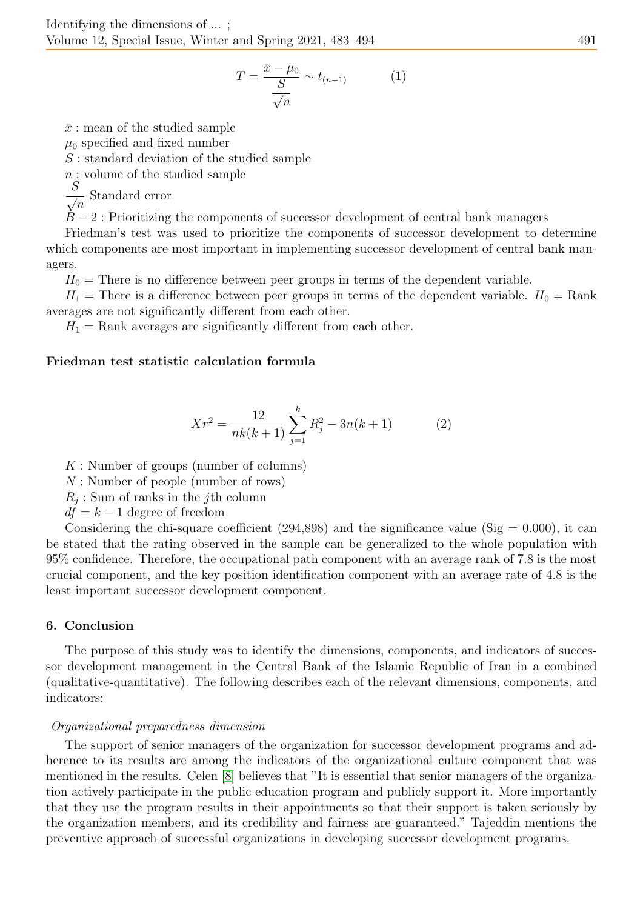$$
T = \frac{\bar{x} - \mu_0}{\frac{S}{\sqrt{n}}} \sim t_{(n-1)}
$$
 (1)

 $\bar{x}$ : mean of the studied sample

 $\mu_0$  specified and fixed number

 $S:$  standard deviation of the studied sample

 $n:$  volume of the studied sample

 $\frac{S}{\sqrt{S}}$  $\overline{n}$ Standard error

 $B-2$ : Prioritizing the components of successor development of central bank managers

Friedman's test was used to prioritize the components of successor development to determine which components are most important in implementing successor development of central bank managers.

 $H_0$  = There is no difference between peer groups in terms of the dependent variable.

 $H_1$  = There is a difference between peer groups in terms of the dependent variable.  $H_0 = \text{Rank}$ averages are not significantly different from each other.

 $H_1$  = Rank averages are significantly different from each other.

## Friedman test statistic calculation formula

$$
Xr^{2} = \frac{12}{nk(k+1)} \sum_{j=1}^{k} R_{j}^{2} - 3n(k+1)
$$
 (2)

 $K:$  Number of groups (number of columns)

N : Number of people (number of rows)

 $R_j$ : Sum of ranks in the j<sup>th</sup> column

 $df = k - 1$  degree of freedom

Considering the chi-square coefficient (294,898) and the significance value (Sig  $= 0.000$ ), it can be stated that the rating observed in the sample can be generalized to the whole population with 95% confidence. Therefore, the occupational path component with an average rank of 7.8 is the most crucial component, and the key position identification component with an average rate of 4.8 is the least important successor development component.

### 6. Conclusion

The purpose of this study was to identify the dimensions, components, and indicators of successor development management in the Central Bank of the Islamic Republic of Iran in a combined (qualitative-quantitative). The following describes each of the relevant dimensions, components, and indicators:

### Organizational preparedness dimension

The support of senior managers of the organization for successor development programs and adherence to its results are among the indicators of the organizational culture component that was mentioned in the results. Celen [\[8\]](#page-10-2) believes that "It is essential that senior managers of the organization actively participate in the public education program and publicly support it. More importantly that they use the program results in their appointments so that their support is taken seriously by the organization members, and its credibility and fairness are guaranteed." Tajeddin mentions the preventive approach of successful organizations in developing successor development programs.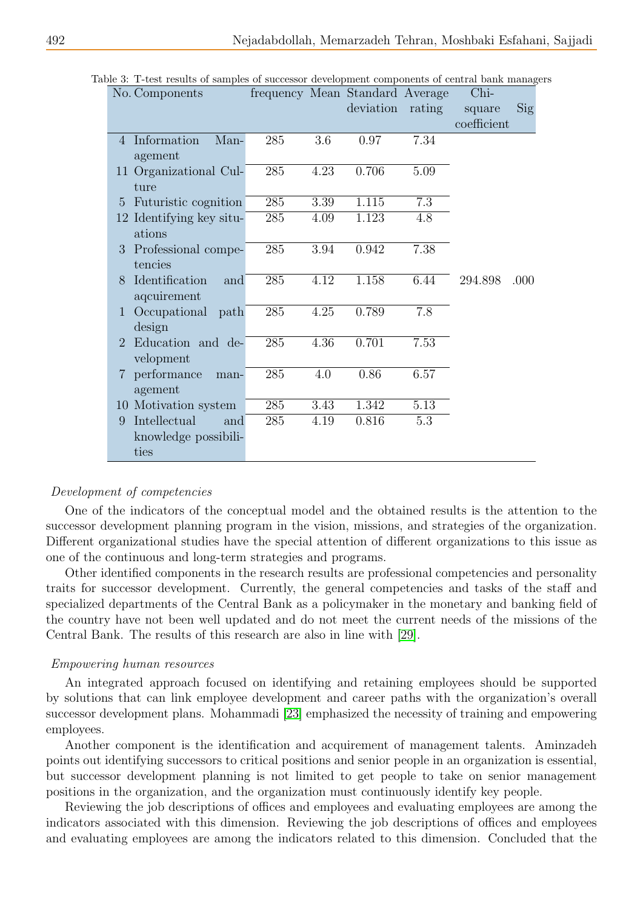| No. Components                                   |     |      | frequency Mean Standard Average |        | Chi-        |      |
|--------------------------------------------------|-----|------|---------------------------------|--------|-------------|------|
|                                                  |     |      | deviation                       | rating | square      | Sig  |
|                                                  |     |      |                                 |        | coefficient |      |
| Information<br>Man-<br>$\overline{4}$            | 285 | 3.6  | 0.97                            | 7.34   |             |      |
| agement                                          |     |      |                                 |        |             |      |
| 11 Organizational Cul-                           | 285 | 4.23 | 0.706                           | 5.09   |             |      |
| ture                                             |     |      |                                 |        |             |      |
| Futuristic cognition<br>5                        | 285 | 3.39 | 1.115                           | 7.3    |             |      |
| 12 Identifying key situ-                         | 285 | 4.09 | 1.123                           | 4.8    |             |      |
| ations                                           |     |      |                                 |        |             |      |
| Professional compe-<br>3                         | 285 | 3.94 | 0.942                           | 7.38   |             |      |
| tencies                                          |     |      |                                 |        |             |      |
| Identification<br>8<br>and                       | 285 | 4.12 | 1.158                           | 6.44   | 294.898     | .000 |
| aqcuirement                                      |     |      |                                 |        |             |      |
| Occupational path<br>$\mathbf{1}$                | 285 | 4.25 | 0.789                           | 7.8    |             |      |
| design                                           |     |      |                                 |        |             |      |
| Education and de-<br>$\mathcal{D}_{\mathcal{L}}$ | 285 | 4.36 | 0.701                           | 7.53   |             |      |
| velopment                                        |     |      |                                 |        |             |      |
| performance<br>7<br>man-                         | 285 | 4.0  | 0.86                            | 6.57   |             |      |
| agement                                          |     |      |                                 |        |             |      |
| 10 Motivation system                             | 285 | 3.43 | 1.342                           | 5.13   |             |      |
| Intellectual<br>9<br>and                         | 285 | 4.19 | 0.816                           | 5.3    |             |      |
| knowledge possibili-                             |     |      |                                 |        |             |      |
| ties                                             |     |      |                                 |        |             |      |

<span id="page-9-0"></span>Table 3: T-test results of samples of successor development components of central bank managers

### Development of competencies

One of the indicators of the conceptual model and the obtained results is the attention to the successor development planning program in the vision, missions, and strategies of the organization. Different organizational studies have the special attention of different organizations to this issue as one of the continuous and long-term strategies and programs.

Other identified components in the research results are professional competencies and personality traits for successor development. Currently, the general competencies and tasks of the staff and specialized departments of the Central Bank as a policymaker in the monetary and banking field of the country have not been well updated and do not meet the current needs of the missions of the Central Bank. The results of this research are also in line with [\[29\]](#page-11-6).

## Empowering human resources

An integrated approach focused on identifying and retaining employees should be supported by solutions that can link employee development and career paths with the organization's overall successor development plans. Mohammadi [\[23\]](#page-11-7) emphasized the necessity of training and empowering employees.

Another component is the identification and acquirement of management talents. Aminzadeh points out identifying successors to critical positions and senior people in an organization is essential, but successor development planning is not limited to get people to take on senior management positions in the organization, and the organization must continuously identify key people.

Reviewing the job descriptions of offices and employees and evaluating employees are among the indicators associated with this dimension. Reviewing the job descriptions of offices and employees and evaluating employees are among the indicators related to this dimension. Concluded that the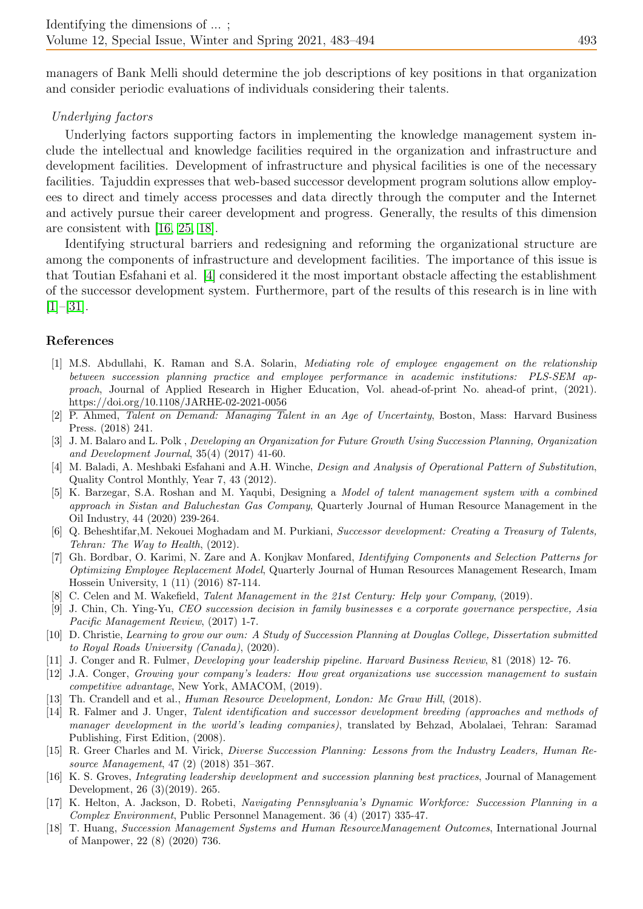managers of Bank Melli should determine the job descriptions of key positions in that organization and consider periodic evaluations of individuals considering their talents.

## Underlying factors

Underlying factors supporting factors in implementing the knowledge management system include the intellectual and knowledge facilities required in the organization and infrastructure and development facilities. Development of infrastructure and physical facilities is one of the necessary facilities. Tajuddin expresses that web-based successor development program solutions allow employees to direct and timely access processes and data directly through the computer and the Internet and actively pursue their career development and progress. Generally, the results of this dimension are consistent with [\[16,](#page-10-3) [25,](#page-11-2) [18\]](#page-10-4).

Identifying structural barriers and redesigning and reforming the organizational structure are among the components of infrastructure and development facilities. The importance of this issue is that Toutian Esfahani et al. [\[4\]](#page-10-5) considered it the most important obstacle affecting the establishment of the successor development system. Furthermore, part of the results of this research is in line with  $[1]$ – $[31]$ .

## References

- <span id="page-10-1"></span>[1] M.S. Abdullahi, K. Raman and S.A. Solarin, Mediating role of employee engagement on the relationship between succession planning practice and employee performance in academic institutions: PLS-SEM approach, Journal of Applied Research in Higher Education, Vol. ahead-of-print No. ahead-of print, (2021). https://doi.org/10.1108/JARHE-02-2021-0056
- [2] P. Ahmed, Talent on Demand: Managing Talent in an Age of Uncertainty, Boston, Mass: Harvard Business Press. (2018) 241.
- <span id="page-10-0"></span>[3] J. M. Balaro and L. Polk , Developing an Organization for Future Growth Using Succession Planning, Organization and Development Journal, 35(4) (2017) 41-60.
- <span id="page-10-5"></span>[4] M. Baladi, A. Meshbaki Esfahani and A.H. Winche, Design and Analysis of Operational Pattern of Substitution, Quality Control Monthly, Year 7, 43 (2012).
- [5] K. Barzegar, S.A. Roshan and M. Yaqubi, Designing a Model of talent management system with a combined approach in Sistan and Baluchestan Gas Company, Quarterly Journal of Human Resource Management in the Oil Industry, 44 (2020) 239-264.
- [6] Q. Beheshtifar,M. Nekouei Moghadam and M. Purkiani, Successor development: Creating a Treasury of Talents, Tehran: The Way to Health, (2012).
- [7] Gh. Bordbar, O. Karimi, N. Zare and A. Konjkav Monfared, Identifying Components and Selection Patterns for Optimizing Employee Replacement Model, Quarterly Journal of Human Resources Management Research, Imam Hossein University, 1 (11) (2016) 87-114.
- <span id="page-10-2"></span>[8] C. Celen and M. Wakefield, Talent Management in the 21st Century: Help your Company, (2019).
- [9] J. Chin, Ch. Ying-Yu, CEO succession decision in family businesses e a corporate governance perspective, Asia Pacific Management Review, (2017) 1-7.
- [10] D. Christie, Learning to grow our own: A Study of Succession Planning at Douglas College, Dissertation submitted to Royal Roads University (Canada), (2020).
- [11] J. Conger and R. Fulmer, Developing your leadership pipeline. Harvard Business Review, 81 (2018) 12- 76.
- [12] J.A. Conger, Growing your company's leaders: How great organizations use succession management to sustain competitive advantage, New York, AMACOM, (2019).
- [13] Th. Crandell and et al., Human Resource Development, London: Mc Graw Hill, (2018).
- [14] R. Falmer and J. Unger, Talent identification and successor development breeding (approaches and methods of manager development in the world's leading companies), translated by Behzad, Abolalaei, Tehran: Saramad Publishing, First Edition, (2008).
- [15] R. Greer Charles and M. Virick, Diverse Succession Planning: Lessons from the Industry Leaders, Human Resource Management, 47 (2) (2018) 351–367.
- <span id="page-10-3"></span>[16] K. S. Groves, Integrating leadership development and succession planning best practices, Journal of Management Development, 26 (3)(2019). 265.
- [17] K. Helton, A. Jackson, D. Robeti, Navigating Pennsylvania's Dynamic Workforce: Succession Planning in a Complex Environment, Public Personnel Management. 36 (4) (2017) 335-47.
- <span id="page-10-4"></span>[18] T. Huang, Succession Management Systems and Human ResourceManagement Outcomes, International Journal of Manpower, 22 (8) (2020) 736.